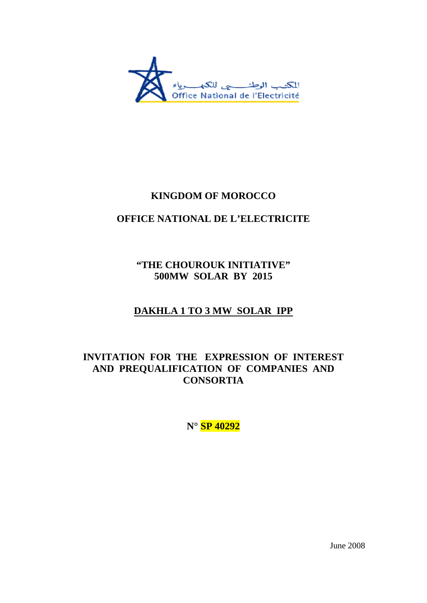

# **KINGDOM OF MOROCCO**

# **OFFICE NATIONAL DE L'ELECTRICITE**

**"THE CHOUROUK INITIATIVE" 500MW SOLAR BY 2015** 

# **DAKHLA 1 TO 3 MW SOLAR IPP**

# **INVITATION FOR THE EXPRESSION OF INTEREST AND PREQUALIFICATION OF COMPANIES AND CONSORTIA**

**N° SP 40292**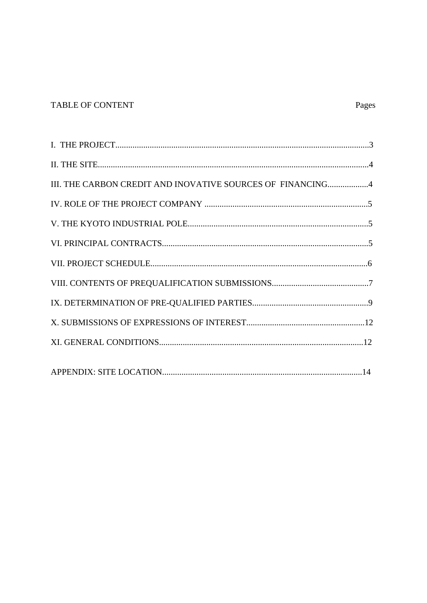## TABLE OF CONTENT

| III. THE CARBON CREDIT AND INOVATIVE SOURCES OF FINANCING4 |
|------------------------------------------------------------|
|                                                            |
|                                                            |
|                                                            |
|                                                            |
|                                                            |
|                                                            |
|                                                            |
|                                                            |
|                                                            |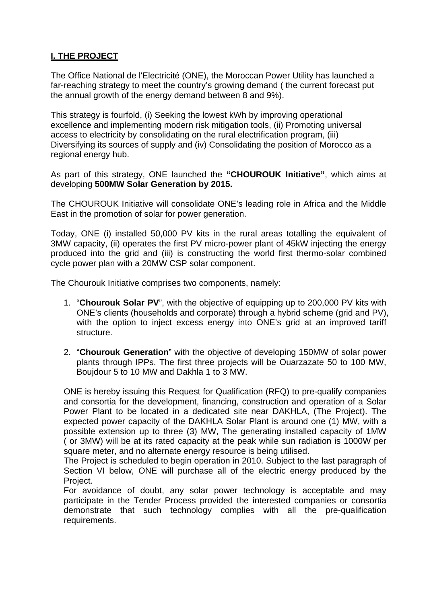## **I. THE PROJECT**

The Office National de l'Electricité (ONE), the Moroccan Power Utility has launched a far-reaching strategy to meet the country's growing demand ( the current forecast put the annual growth of the energy demand between 8 and 9%).

This strategy is fourfold, (i) Seeking the lowest kWh by improving operational excellence and implementing modern risk mitigation tools, (ii) Promoting universal access to electricity by consolidating on the rural electrification program, (iii) Diversifying its sources of supply and (iv) Consolidating the position of Morocco as a regional energy hub.

As part of this strategy, ONE launched the **"CHOUROUK Initiative"**, which aims at developing **500MW Solar Generation by 2015.**

The CHOUROUK Initiative will consolidate ONE's leading role in Africa and the Middle East in the promotion of solar for power generation.

Today, ONE (i) installed 50,000 PV kits in the rural areas totalling the equivalent of 3MW capacity, (ii) operates the first PV micro-power plant of 45kW injecting the energy produced into the grid and (iii) is constructing the world first thermo-solar combined cycle power plan with a 20MW CSP solar component.

The Chourouk Initiative comprises two components, namely:

- 1. "**Chourouk Solar PV**", with the objective of equipping up to 200,000 PV kits with ONE's clients (households and corporate) through a hybrid scheme (grid and PV), with the option to inject excess energy into ONE's grid at an improved tariff structure.
- 2. "**Chourouk Generation**" with the objective of developing 150MW of solar power plants through IPPs. The first three projects will be Ouarzazate 50 to 100 MW, Boujdour 5 to 10 MW and Dakhla 1 to 3 MW.

ONE is hereby issuing this Request for Qualification (RFQ) to pre-qualify companies and consortia for the development, financing, construction and operation of a Solar Power Plant to be located in a dedicated site near DAKHLA, (The Project). The expected power capacity of the DAKHLA Solar Plant is around one (1) MW, with a possible extension up to three (3) MW, The generating installed capacity of 1MW ( or 3MW) will be at its rated capacity at the peak while sun radiation is 1000W per square meter, and no alternate energy resource is being utilised.

The Project is scheduled to begin operation in 2010. Subject to the last paragraph of Section VI below, ONE will purchase all of the electric energy produced by the Project.

For avoidance of doubt, any solar power technology is acceptable and may participate in the Tender Process provided the interested companies or consortia demonstrate that such technology complies with all the pre-qualification requirements.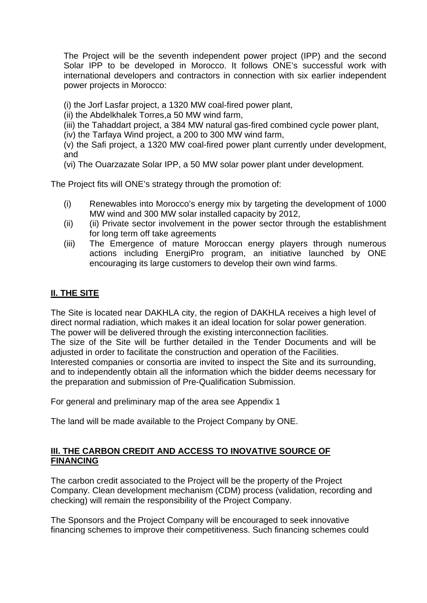The Project will be the seventh independent power project (IPP) and the second Solar IPP to be developed in Morocco. It follows ONE's successful work with international developers and contractors in connection with six earlier independent power projects in Morocco:

(i) the Jorf Lasfar project, a 1320 MW coal-fired power plant,

(ii) the Abdelkhalek Torres,a 50 MW wind farm,

(iii) the Tahaddart project, a 384 MW natural gas-fired combined cycle power plant,

(iv) the Tarfaya Wind project, a 200 to 300 MW wind farm,

(v) the Safi project, a 1320 MW coal-fired power plant currently under development, and

(vi) The Ouarzazate Solar IPP, a 50 MW solar power plant under development.

The Project fits will ONE's strategy through the promotion of:

- (i) Renewables into Morocco's energy mix by targeting the development of 1000 MW wind and 300 MW solar installed capacity by 2012,
- (ii) (ii) Private sector involvement in the power sector through the establishment for long term off take agreements
- (iii) The Emergence of mature Moroccan energy players through numerous actions including EnergiPro program, an initiative launched by ONE encouraging its large customers to develop their own wind farms.

## **II. THE SITE**

The Site is located near DAKHLA city, the region of DAKHLA receives a high level of direct normal radiation, which makes it an ideal location for solar power generation. The power will be delivered through the existing interconnection facilities.

The size of the Site will be further detailed in the Tender Documents and will be adjusted in order to facilitate the construction and operation of the Facilities.

Interested companies or consortia are invited to inspect the Site and its surrounding, and to independently obtain all the information which the bidder deems necessary for the preparation and submission of Pre-Qualification Submission.

For general and preliminary map of the area see Appendix 1

The land will be made available to the Project Company by ONE.

#### **III. THE CARBON CREDIT AND ACCESS TO INOVATIVE SOURCE OF FINANCING**

The carbon credit associated to the Project will be the property of the Project Company. Clean development mechanism (CDM) process (validation, recording and checking) will remain the responsibility of the Project Company.

The Sponsors and the Project Company will be encouraged to seek innovative financing schemes to improve their competitiveness. Such financing schemes could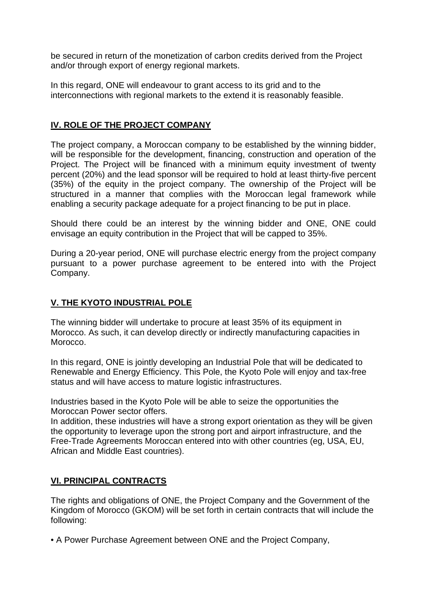be secured in return of the monetization of carbon credits derived from the Project and/or through export of energy regional markets.

In this regard, ONE will endeavour to grant access to its grid and to the interconnections with regional markets to the extend it is reasonably feasible.

## **IV. ROLE OF THE PROJECT COMPANY**

The project company, a Moroccan company to be established by the winning bidder, will be responsible for the development, financing, construction and operation of the Project. The Project will be financed with a minimum equity investment of twenty percent (20%) and the lead sponsor will be required to hold at least thirty-five percent (35%) of the equity in the project company. The ownership of the Project will be structured in a manner that complies with the Moroccan legal framework while enabling a security package adequate for a project financing to be put in place.

Should there could be an interest by the winning bidder and ONE, ONE could envisage an equity contribution in the Project that will be capped to 35%.

During a 20-year period, ONE will purchase electric energy from the project company pursuant to a power purchase agreement to be entered into with the Project Company.

### **V. THE KYOTO INDUSTRIAL POLE**

The winning bidder will undertake to procure at least 35% of its equipment in Morocco. As such, it can develop directly or indirectly manufacturing capacities in Morocco.

In this regard, ONE is jointly developing an Industrial Pole that will be dedicated to Renewable and Energy Efficiency. This Pole, the Kyoto Pole will enjoy and tax-free status and will have access to mature logistic infrastructures.

Industries based in the Kyoto Pole will be able to seize the opportunities the Moroccan Power sector offers.

In addition, these industries will have a strong export orientation as they will be given the opportunity to leverage upon the strong port and airport infrastructure, and the Free-Trade Agreements Moroccan entered into with other countries (eg, USA, EU, African and Middle East countries).

#### **VI. PRINCIPAL CONTRACTS**

The rights and obligations of ONE, the Project Company and the Government of the Kingdom of Morocco (GKOM) will be set forth in certain contracts that will include the following:

• A Power Purchase Agreement between ONE and the Project Company,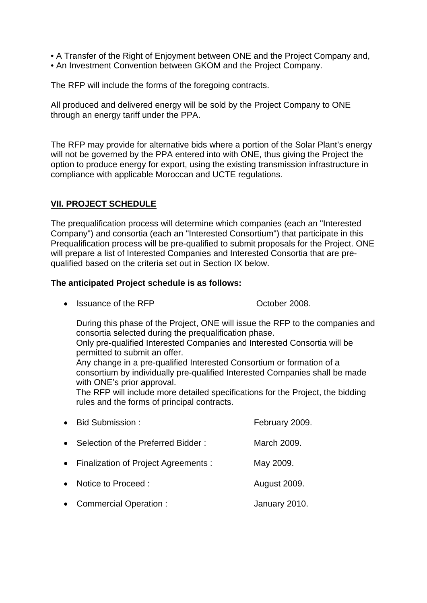- A Transfer of the Right of Enjoyment between ONE and the Project Company and,
- An Investment Convention between GKOM and the Project Company.

The RFP will include the forms of the foregoing contracts.

All produced and delivered energy will be sold by the Project Company to ONE through an energy tariff under the PPA.

The RFP may provide for alternative bids where a portion of the Solar Plant's energy will not be governed by the PPA entered into with ONE, thus giving the Project the option to produce energy for export, using the existing transmission infrastructure in compliance with applicable Moroccan and UCTE regulations.

## **VII. PROJECT SCHEDULE**

The prequalification process will determine which companies (each an "Interested Company") and consortia (each an "Interested Consortium") that participate in this Prequalification process will be pre-qualified to submit proposals for the Project. ONE will prepare a list of Interested Companies and Interested Consortia that are prequalified based on the criteria set out in Section IX below.

### **The anticipated Project schedule is as follows:**

• Issuance of the RFP Controller 2008

During this phase of the Project, ONE will issue the RFP to the companies and consortia selected during the prequalification phase.

Only pre-qualified Interested Companies and Interested Consortia will be permitted to submit an offer.

Any change in a pre-qualified Interested Consortium or formation of a consortium by individually pre-qualified Interested Companies shall be made with ONE's prior approval.

The RFP will include more detailed specifications for the Project, the bidding rules and the forms of principal contracts.

| $\bullet$ | Bid Submission:                        | February 2009.      |
|-----------|----------------------------------------|---------------------|
|           | • Selection of the Preferred Bidder:   | March 2009.         |
|           | • Finalization of Project Agreements : | May 2009.           |
| $\bullet$ | Notice to Proceed:                     | <b>August 2009.</b> |
|           | • Commercial Operation :               | January 2010.       |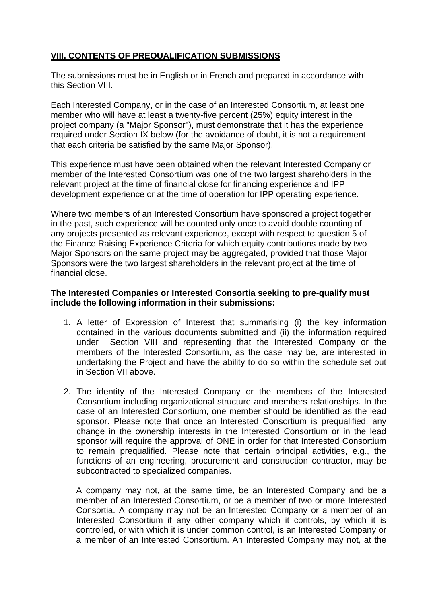## **VIII. CONTENTS OF PREQUALIFICATION SUBMISSIONS**

The submissions must be in English or in French and prepared in accordance with this Section VIII.

Each Interested Company, or in the case of an Interested Consortium, at least one member who will have at least a twenty-five percent (25%) equity interest in the project company (a "Major Sponsor"), must demonstrate that it has the experience required under Section IX below (for the avoidance of doubt, it is not a requirement that each criteria be satisfied by the same Major Sponsor).

This experience must have been obtained when the relevant Interested Company or member of the Interested Consortium was one of the two largest shareholders in the relevant project at the time of financial close for financing experience and IPP development experience or at the time of operation for IPP operating experience.

Where two members of an Interested Consortium have sponsored a project together in the past, such experience will be counted only once to avoid double counting of any projects presented as relevant experience, except with respect to question 5 of the Finance Raising Experience Criteria for which equity contributions made by two Major Sponsors on the same project may be aggregated, provided that those Major Sponsors were the two largest shareholders in the relevant project at the time of financial close.

#### **The Interested Companies or Interested Consortia seeking to pre-qualify must include the following information in their submissions:**

- 1. A letter of Expression of Interest that summarising (i) the key information contained in the various documents submitted and (ii) the information required under Section VIII and representing that the Interested Company or the members of the Interested Consortium, as the case may be, are interested in undertaking the Project and have the ability to do so within the schedule set out in Section VII above.
- 2. The identity of the Interested Company or the members of the Interested Consortium including organizational structure and members relationships. In the case of an Interested Consortium, one member should be identified as the lead sponsor. Please note that once an Interested Consortium is prequalified, any change in the ownership interests in the Interested Consortium or in the lead sponsor will require the approval of ONE in order for that Interested Consortium to remain prequalified. Please note that certain principal activities, e.g., the functions of an engineering, procurement and construction contractor, may be subcontracted to specialized companies.

A company may not, at the same time, be an Interested Company and be a member of an Interested Consortium, or be a member of two or more Interested Consortia. A company may not be an Interested Company or a member of an Interested Consortium if any other company which it controls, by which it is controlled, or with which it is under common control, is an Interested Company or a member of an Interested Consortium. An Interested Company may not, at the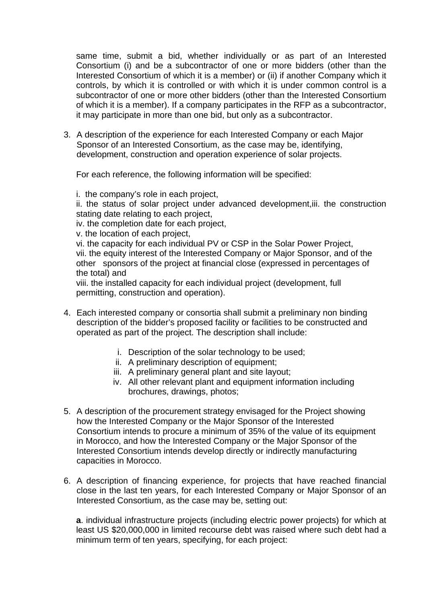same time, submit a bid, whether individually or as part of an Interested Consortium (i) and be a subcontractor of one or more bidders (other than the Interested Consortium of which it is a member) or (ii) if another Company which it controls, by which it is controlled or with which it is under common control is a subcontractor of one or more other bidders (other than the Interested Consortium of which it is a member). If a company participates in the RFP as a subcontractor, it may participate in more than one bid, but only as a subcontractor.

3. A description of the experience for each Interested Company or each Major Sponsor of an Interested Consortium, as the case may be, identifying, development, construction and operation experience of solar projects.

For each reference, the following information will be specified:

i. the company's role in each project,

ii. the status of solar project under advanced development,iii. the construction stating date relating to each project,

iv. the completion date for each project,

v. the location of each project,

vi. the capacity for each individual PV or CSP in the Solar Power Project, vii. the equity interest of the Interested Company or Major Sponsor, and of the other sponsors of the project at financial close (expressed in percentages of the total) and

viii. the installed capacity for each individual project (development, full permitting, construction and operation).

- 4. Each interested company or consortia shall submit a preliminary non binding description of the bidder's proposed facility or facilities to be constructed and operated as part of the project. The description shall include:
	- i. Description of the solar technology to be used;
	- ii. A preliminary description of equipment;
	- iii. A preliminary general plant and site layout;
	- iv. All other relevant plant and equipment information including brochures, drawings, photos;
- 5. A description of the procurement strategy envisaged for the Project showing how the Interested Company or the Major Sponsor of the Interested Consortium intends to procure a minimum of 35% of the value of its equipment in Morocco, and how the Interested Company or the Major Sponsor of the Interested Consortium intends develop directly or indirectly manufacturing capacities in Morocco.
- 6. A description of financing experience, for projects that have reached financial close in the last ten years, for each Interested Company or Major Sponsor of an Interested Consortium, as the case may be, setting out:

**a**. individual infrastructure projects (including electric power projects) for which at least US \$20,000,000 in limited recourse debt was raised where such debt had a minimum term of ten years, specifying, for each project: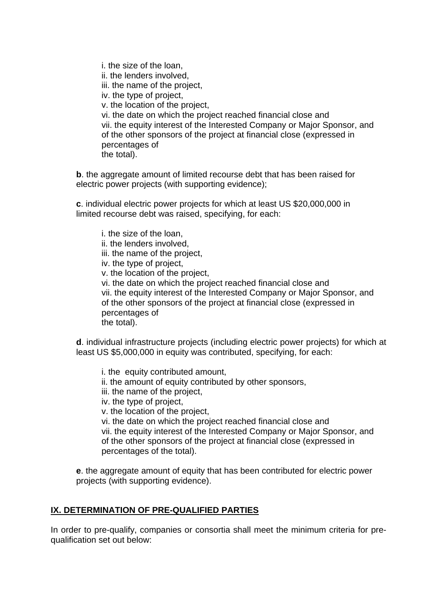i. the size of the loan, ii. the lenders involved, iii. the name of the project, iv. the type of project, v. the location of the project, vi. the date on which the project reached financial close and vii. the equity interest of the Interested Company or Major Sponsor, and of the other sponsors of the project at financial close (expressed in percentages of the total).

**b**. the aggregate amount of limited recourse debt that has been raised for electric power projects (with supporting evidence);

**c**. individual electric power projects for which at least US \$20,000,000 in limited recourse debt was raised, specifying, for each:

i. the size of the loan, ii. the lenders involved, iii. the name of the project, iv. the type of project, v. the location of the project, vi. the date on which the project reached financial close and vii. the equity interest of the Interested Company or Major Sponsor, and of the other sponsors of the project at financial close (expressed in percentages of the total).

**d**. individual infrastructure projects (including electric power projects) for which at least US \$5,000,000 in equity was contributed, specifying, for each:

i. the equity contributed amount, ii. the amount of equity contributed by other sponsors, iii. the name of the project, iv. the type of project, v. the location of the project, vi. the date on which the project reached financial close and vii. the equity interest of the Interested Company or Major Sponsor, and of the other sponsors of the project at financial close (expressed in percentages of the total).

**e**. the aggregate amount of equity that has been contributed for electric power projects (with supporting evidence).

## **IX. DETERMINATION OF PRE-QUALIFIED PARTIES**

In order to pre-qualify, companies or consortia shall meet the minimum criteria for prequalification set out below: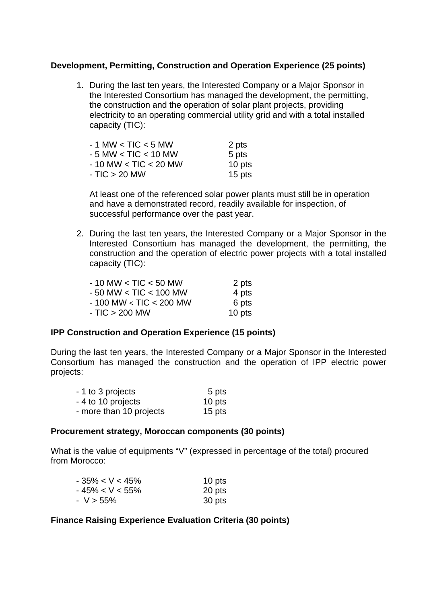### **Development, Permitting, Construction and Operation Experience (25 points)**

1. During the last ten years, the Interested Company or a Major Sponsor in the Interested Consortium has managed the development, the permitting, the construction and the operation of solar plant projects, providing electricity to an operating commercial utility grid and with a total installed capacity (TIC):

| $-1$ MW $<$ TIC $<$ 5 MW   | 2 pts  |
|----------------------------|--------|
| $-5$ MW $<$ TIC $<$ 10 MW  | 5 pts  |
| $-10$ MW $<$ TIC $<$ 20 MW | 10 pts |
| $-$ TIC $>$ 20 MW          | 15 pts |

At least one of the referenced solar power plants must still be in operation and have a demonstrated record, readily available for inspection, of successful performance over the past year.

2. During the last ten years, the Interested Company or a Major Sponsor in the Interested Consortium has managed the development, the permitting, the construction and the operation of electric power projects with a total installed capacity (TIC):

| $-10$ MW $<$ TIC $<$ 50 MW   | 2 pts  |
|------------------------------|--------|
| $-50$ MW $<$ TIC $<$ 100 MW  | 4 pts  |
| $-100$ MW $<$ TIC $<$ 200 MW | 6 pts  |
| $-$ TIC $>$ 200 MW           | 10 pts |

#### **IPP Construction and Operation Experience (15 points)**

During the last ten years, the Interested Company or a Major Sponsor in the Interested Consortium has managed the construction and the operation of IPP electric power projects:

| - 1 to 3 projects       | 5 pts  |
|-------------------------|--------|
| - 4 to 10 projects      | 10 pts |
| - more than 10 projects | 15 pts |

#### **Procurement strategy, Moroccan components (30 points)**

What is the value of equipments "V" (expressed in percentage of the total) procured from Morocco:

| - 35% < V < 45% | 10 pts |
|-----------------|--------|
| - 45% < V < 55% | 20 pts |
| - V > 55%       | 30 pts |

#### **Finance Raising Experience Evaluation Criteria (30 points)**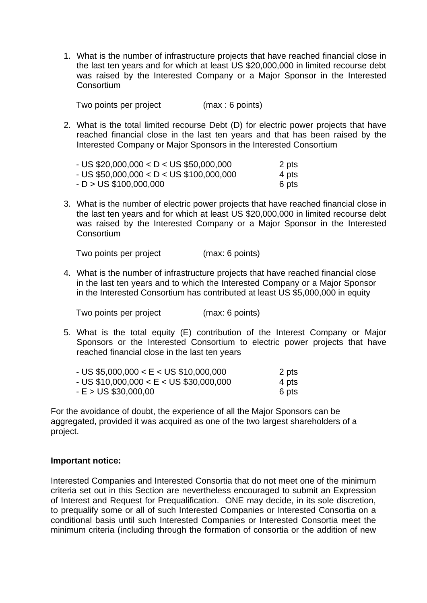1. What is the number of infrastructure projects that have reached financial close in the last ten years and for which at least US \$20,000,000 in limited recourse debt was raised by the Interested Company or a Major Sponsor in the Interested **Consortium** 

Two points per project (max : 6 points)

2. What is the total limited recourse Debt (D) for electric power projects that have reached financial close in the last ten years and that has been raised by the Interested Company or Major Sponsors in the Interested Consortium

| - US \$20,000,000 < D < US \$50,000,000  | 2 pts |
|------------------------------------------|-------|
| - US \$50,000,000 < D < US \$100,000,000 | 4 pts |
| $-D > US $100,000,000$                   | 6 pts |

3. What is the number of electric power projects that have reached financial close in the last ten years and for which at least US \$20,000,000 in limited recourse debt was raised by the Interested Company or a Major Sponsor in the Interested **Consortium** 

Two points per project (max: 6 points)

4. What is the number of infrastructure projects that have reached financial close in the last ten years and to which the Interested Company or a Major Sponsor in the Interested Consortium has contributed at least US \$5,000,000 in equity

Two points per project (max: 6 points)

5. What is the total equity (E) contribution of the Interest Company or Major Sponsors or the Interested Consortium to electric power projects that have reached financial close in the last ten years

| - US \$5,000,000 < E < US \$10,000,000  | 2 pts |
|-----------------------------------------|-------|
| - US \$10,000,000 < E < US \$30,000,000 | 4 pts |
| $-E > US $30,000,00$                    | 6 pts |

For the avoidance of doubt, the experience of all the Major Sponsors can be aggregated, provided it was acquired as one of the two largest shareholders of a project.

#### **Important notice:**

Interested Companies and Interested Consortia that do not meet one of the minimum criteria set out in this Section are nevertheless encouraged to submit an Expression of Interest and Request for Prequalification. ONE may decide, in its sole discretion, to prequalify some or all of such Interested Companies or Interested Consortia on a conditional basis until such Interested Companies or Interested Consortia meet the minimum criteria (including through the formation of consortia or the addition of new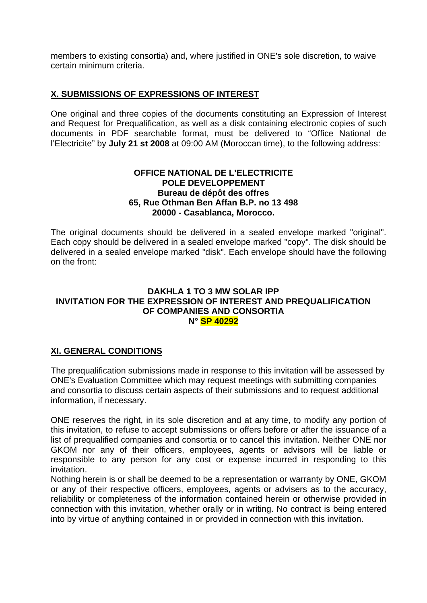members to existing consortia) and, where justified in ONE's sole discretion, to waive certain minimum criteria.

### **X. SUBMISSIONS OF EXPRESSIONS OF INTEREST**

One original and three copies of the documents constituting an Expression of Interest and Request for Prequalification, as well as a disk containing electronic copies of such documents in PDF searchable format, must be delivered to "Office National de l'Electricite" by **July 21 st 2008** at 09:00 AM (Moroccan time), to the following address:

#### **OFFICE NATIONAL DE L'ELECTRICITE POLE DEVELOPPEMENT Bureau de dépôt des offres 65, Rue Othman Ben Affan B.P. no 13 498 20000 - Casablanca, Morocco.**

The original documents should be delivered in a sealed envelope marked "original". Each copy should be delivered in a sealed envelope marked "copy". The disk should be delivered in a sealed envelope marked "disk". Each envelope should have the following on the front:

#### **DAKHLA 1 TO 3 MW SOLAR IPP INVITATION FOR THE EXPRESSION OF INTEREST AND PREQUALIFICATION OF COMPANIES AND CONSORTIA N° SP 40292**

## **XI. GENERAL CONDITIONS**

The prequalification submissions made in response to this invitation will be assessed by ONE's Evaluation Committee which may request meetings with submitting companies and consortia to discuss certain aspects of their submissions and to request additional information, if necessary.

ONE reserves the right, in its sole discretion and at any time, to modify any portion of this invitation, to refuse to accept submissions or offers before or after the issuance of a list of prequalified companies and consortia or to cancel this invitation. Neither ONE nor GKOM nor any of their officers, employees, agents or advisors will be liable or responsible to any person for any cost or expense incurred in responding to this invitation.

Nothing herein is or shall be deemed to be a representation or warranty by ONE, GKOM or any of their respective officers, employees, agents or advisers as to the accuracy, reliability or completeness of the information contained herein or otherwise provided in connection with this invitation, whether orally or in writing. No contract is being entered into by virtue of anything contained in or provided in connection with this invitation.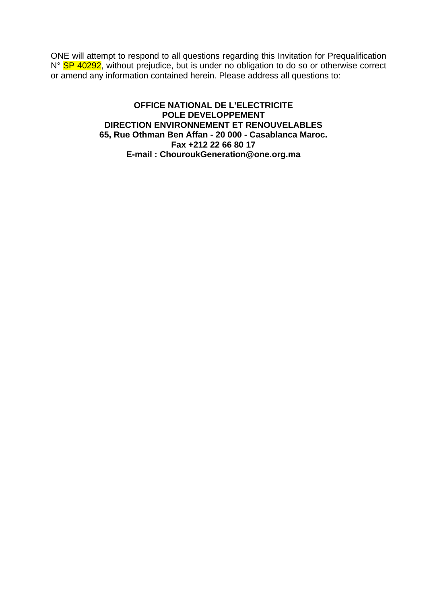ONE will attempt to respond to all questions regarding this Invitation for Prequalification N° SP 40292, without prejudice, but is under no obligation to do so or otherwise correct or amend any information contained herein. Please address all questions to:

> **OFFICE NATIONAL DE L'ELECTRICITE POLE DEVELOPPEMENT DIRECTION ENVIRONNEMENT ET RENOUVELABLES 65, Rue Othman Ben Affan - 20 000 - Casablanca Maroc. Fax +212 22 66 80 17 E-mail : ChouroukGeneration@one.org.ma**